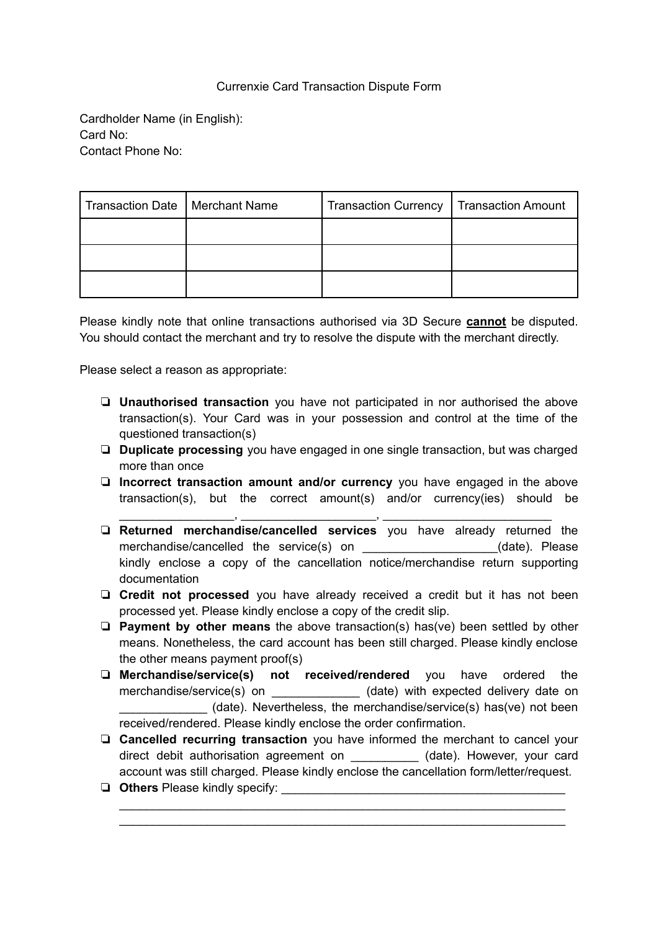## Currenxie Card Transaction Dispute Form

Cardholder Name (in English): Card No: Contact Phone No:

| Transaction Date   Merchant Name | Transaction Currency   Transaction Amount |  |
|----------------------------------|-------------------------------------------|--|
|                                  |                                           |  |
|                                  |                                           |  |
|                                  |                                           |  |

Please kindly note that online transactions authorised via 3D Secure **cannot** be disputed. You should contact the merchant and try to resolve the dispute with the merchant directly.

Please select a reason as appropriate:

- ❏ **Unauthorised transaction** you have not participated in nor authorised the above transaction(s). Your Card was in your possession and control at the time of the questioned transaction(s)
- ❏ **Duplicate processing** you have engaged in one single transaction, but was charged more than once
- ❏ **Incorrect transaction amount and/or currency** you have engaged in the above transaction(s), but the correct amount(s) and/or currency(ies) should be

\_\_\_\_\_\_\_\_\_\_\_\_\_\_\_\_\_, \_\_\_\_\_\_\_\_\_\_\_\_\_\_\_\_\_\_\_\_, \_\_\_\_\_\_\_\_\_\_\_\_\_\_\_\_\_\_\_\_\_\_\_\_\_

- ❏ **Returned merchandise/cancelled services** you have already returned the merchandise/cancelled the service(s) on \_\_\_\_\_\_\_\_\_\_\_\_\_\_\_\_\_\_\_\_\_(date). Please kindly enclose a copy of the cancellation notice/merchandise return supporting documentation
- ❏ **Credit not processed** you have already received a credit but it has not been processed yet. Please kindly enclose a copy of the credit slip.
- ❏ **Payment by other means** the above transaction(s) has(ve) been settled by other means. Nonetheless, the card account has been still charged. Please kindly enclose the other means payment proof(s)
- ❏ **Merchandise/service(s) not received/rendered** you have ordered the merchandise/service(s) on \_\_\_\_\_\_\_\_\_\_\_\_\_\_ (date) with expected delivery date on \_\_\_\_\_\_\_\_\_\_\_\_\_ (date). Nevertheless, the merchandise/service(s) has(ve) not been received/rendered. Please kindly enclose the order confirmation.
- ❏ **Cancelled recurring transaction** you have informed the merchant to cancel your direct debit authorisation agreement on **the set of the set of the card** direct vour card account was still charged. Please kindly enclose the cancellation form/letter/request.

\_\_\_\_\_\_\_\_\_\_\_\_\_\_\_\_\_\_\_\_\_\_\_\_\_\_\_\_\_\_\_\_\_\_\_\_\_\_\_\_\_\_\_\_\_\_\_\_\_\_\_\_\_\_\_\_\_\_\_\_\_\_\_\_\_\_ \_\_\_\_\_\_\_\_\_\_\_\_\_\_\_\_\_\_\_\_\_\_\_\_\_\_\_\_\_\_\_\_\_\_\_\_\_\_\_\_\_\_\_\_\_\_\_\_\_\_\_\_\_\_\_\_\_\_\_\_\_\_\_\_\_\_

❏ **Others** Please kindly specify: \_\_\_\_\_\_\_\_\_\_\_\_\_\_\_\_\_\_\_\_\_\_\_\_\_\_\_\_\_\_\_\_\_\_\_\_\_\_\_\_\_\_